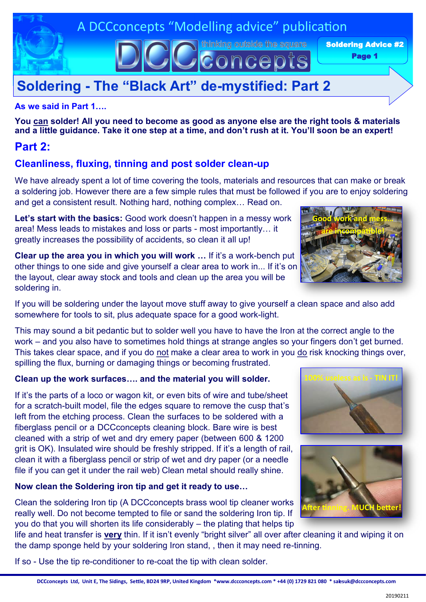## A DCCconcepts "Modelling advice" publication

thinking outside the square

concepts

Soldering Advice #2

Page 1

# **Soldering - The "Black Art" de-mystified: Part 2**

### **As we said in Part 1….**

**You can solder! All you need to become as good as anyone else are the right tools & materials and a little guidance. Take it one step at a time, and don't rush at it. You'll soon be an expert!**

## **Part 2:**

## **Cleanliness, fluxing, tinning and post solder clean-up**

We have already spent a lot of time covering the tools, materials and resources that can make or break a soldering job. However there are a few simple rules that must be followed if you are to enjoy soldering and get a consistent result. Nothing hard, nothing complex… Read on.

**Let's start with the basics:** Good work doesn't happen in a messy work area! Mess leads to mistakes and loss or parts - most importantly… it greatly increases the possibility of accidents, so clean it all up!

**Clear up the area you in which you will work …** If it's a work-bench put other things to one side and give yourself a clear area to work in... If it's on the layout, clear away stock and tools and clean up the area you will be soldering in.



This may sound a bit pedantic but to solder well you have to have the Iron at the correct angle to the work – and you also have to sometimes hold things at strange angles so your fingers don't get burned. This takes clear space, and if you do not make a clear area to work in you do risk knocking things over, spilling the flux, burning or damaging things or becoming frustrated.

## **Clean up the work surfaces…. and the material you will solder.**

If it's the parts of a loco or wagon kit, or even bits of wire and tube/sheet for a scratch-built model, file the edges square to remove the cusp that's left from the etching process. Clean the surfaces to be soldered with a fiberglass pencil or a DCCconcepts cleaning block. Bare wire is best cleaned with a strip of wet and dry emery paper (between 600 & 1200 grit is OK). Insulated wire should be freshly stripped. If it's a length of rail, clean it with a fiberglass pencil or strip of wet and dry paper (or a needle file if you can get it under the rail web) Clean metal should really shine.

## **Now clean the Soldering iron tip and get it ready to use…**

Clean the soldering Iron tip (A DCCconcepts brass wool tip cleaner works really well. Do not become tempted to file or sand the soldering Iron tip. If you do that you will shorten its life considerably – the plating that helps tip

life and heat transfer is **very** thin. If it isn't evenly "bright silver" all over after cleaning it and wiping it on the damp sponge held by your soldering Iron stand, , then it may need re-tinning.

**DCCconcepts Ltd, Unit E, The Sidings, Settle, BD24 9RP, United Kingdom \*www.dccconcepts.com \* +44 (0) 1729 821 080 \* salesuk@dccconcepts.com**

If so - Use the tip re-conditioner to re-coat the tip with clean solder.





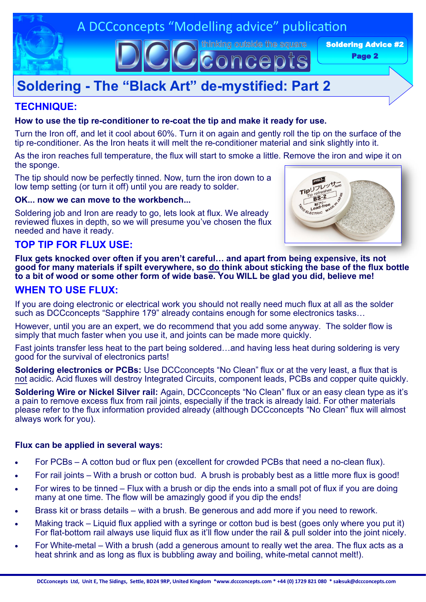

thinking outside the square

conce

Soldering Advice #2

Page 2

# **Soldering - The "Black Art" de-mystified: Part 2**

## **TECHNIQUE:**

#### **How to use the tip re-conditioner to re-coat the tip and make it ready for use.**

Turn the Iron off, and let it cool about 60%. Turn it on again and gently roll the tip on the surface of the tip re-conditioner. As the Iron heats it will melt the re-conditioner material and sink slightly into it.

As the iron reaches full temperature, the flux will start to smoke a little. Remove the iron and wipe it on the sponge.

The tip should now be perfectly tinned. Now, turn the iron down to a low temp setting (or turn it off) until you are ready to solder.

#### **OK... now we can move to the workbench...**

Soldering job and Iron are ready to go, lets look at flux. We already reviewed fluxes in depth, so we will presume you've chosen the flux needed and have it ready.



## **TOP TIP FOR FLUX USE:**

**Flux gets knocked over often if you aren't careful… and apart from being expensive, its not good for many materials if spilt everywhere, so do think about sticking the base of the flux bottle to a bit of wood or some other form of wide base. You WILL be glad you did, believe me!**

## **WHEN TO USE FLUX:**

If you are doing electronic or electrical work you should not really need much flux at all as the solder such as DCCconcepts "Sapphire 179" already contains enough for some electronics tasks...

However, until you are an expert, we do recommend that you add some anyway. The solder flow is simply that much faster when you use it, and joints can be made more quickly.

Fast joints transfer less heat to the part being soldered…and having less heat during soldering is very good for the survival of electronics parts!

**Soldering electronics or PCBs:** Use DCCconcepts "No Clean" flux or at the very least, a flux that is not acidic. Acid fluxes will destroy Integrated Circuits, component leads, PCBs and copper quite quickly.

**Soldering Wire or Nickel Silver rail:** Again, DCCconcepts "No Clean" flux or an easy clean type as it's a pain to remove excess flux from rail joints, especially if the track is already laid. For other materials please refer to the flux information provided already (although DCCconcepts "No Clean" flux will almost always work for you).

#### **Flux can be applied in several ways:**

- For PCBs A cotton bud or flux pen (excellent for crowded PCBs that need a no-clean flux).
- For rail joints With a brush or cotton bud. A brush is probably best as a little more flux is good!
- For wires to be tinned Flux with a brush or dip the ends into a small pot of flux if you are doing many at one time. The flow will be amazingly good if you dip the ends!
- Brass kit or brass details with a brush. Be generous and add more if you need to rework.
- Making track Liquid flux applied with a syringe or cotton bud is best (goes only where you put it) For flat-bottom rail always use liquid flux as it'll flow under the rail & pull solder into the joint nicely.
- For White-metal With a brush (add a generous amount to really wet the area. The flux acts as a heat shrink and as long as flux is bubbling away and boiling, white-metal cannot melt!).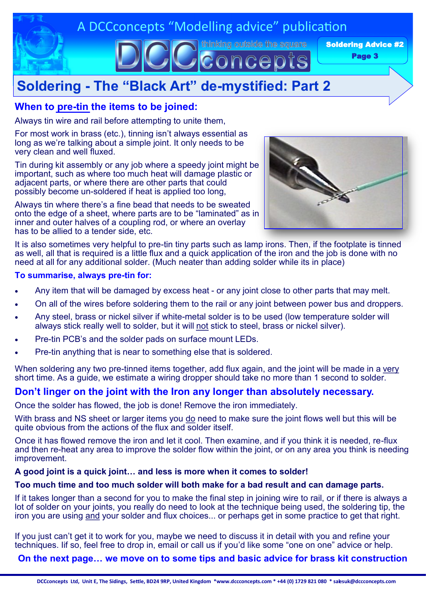

## **Soldering - The "Black Art" de-mystified: Part 2**

## **When to pre-tin the items to be joined:**

Always tin wire and rail before attempting to unite them,

For most work in brass (etc.), tinning isn't always essential as long as we're talking about a simple joint. It only needs to be very clean and well fluxed.

Tin during kit assembly or any job where a speedy joint might be important, such as where too much heat will damage plastic or adjacent parts, or where there are other parts that could possibly become un-soldered if heat is applied too long,

Always tin where there's a fine bead that needs to be sweated onto the edge of a sheet, where parts are to be "laminated" as in inner and outer halves of a coupling rod, or where an overlay has to be allied to a tender side, etc.



It is also sometimes very helpful to pre-tin tiny parts such as lamp irons. Then, if the footplate is tinned as well, all that is required is a little flux and a quick application of the iron and the job is done with no need at all for any additional solder. (Much neater than adding solder while its in place)

#### **To summarise, always pre-tin for:**

- Any item that will be damaged by excess heat or any joint close to other parts that may melt.
- On all of the wires before soldering them to the rail or any joint between power bus and droppers.
- Any steel, brass or nickel silver if white-metal solder is to be used (low temperature solder will always stick really well to solder, but it will not stick to steel, brass or nickel silver).
- Pre-tin PCB's and the solder pads on surface mount LEDs.
- Pre-tin anything that is near to something else that is soldered.

When soldering any two pre-tinned items together, add flux again, and the joint will be made in a very short time. As a guide, we estimate a wiring dropper should take no more than 1 second to solder.

## **Don't linger on the joint with the Iron any longer than absolutely necessary.**

Once the solder has flowed, the job is done! Remove the iron immediately.

With brass and NS sheet or larger items you do need to make sure the joint flows well but this will be quite obvious from the actions of the flux and solder itself.

Once it has flowed remove the iron and let it cool. Then examine, and if you think it is needed, re-flux and then re-heat any area to improve the solder flow within the joint, or on any area you think is needing improvement.

#### **A good joint is a quick joint… and less is more when it comes to solder!**

#### **Too much time and too much solder will both make for a bad result and can damage parts.**

If it takes longer than a second for you to make the final step in joining wire to rail, or if there is always a lot of solder on your joints, you really do need to look at the technique being used, the soldering tip, the iron you are using and your solder and flux choices... or perhaps get in some practice to get that right.

If you just can't get it to work for you, maybe we need to discuss it in detail with you and refine your techniques. Iif so, feel free to drop in, email or call us if you'd like some "one on one" advice or help.

**On the next page… we move on to some tips and basic advice for brass kit construction**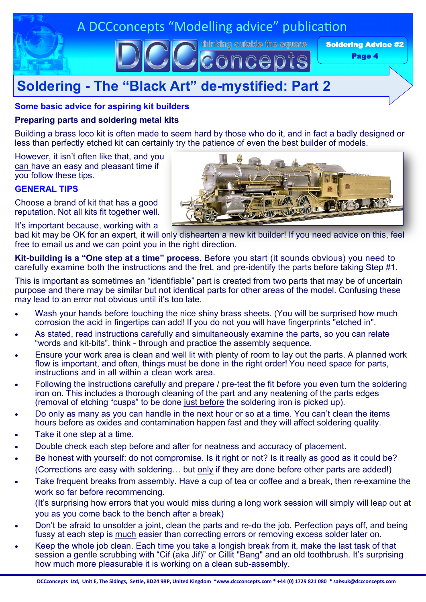

# **Soldering - The "Black Art" de-mystified: Part 2**

#### **Some basic advice for aspiring kit builders**

#### **Preparing parts and soldering metal kits**

Building a brass loco kit is often made to seem hard by those who do it, and in fact a badly designed or less than perfectly etched kit can certainly try the patience of even the best builder of models.

However, it isn't often like that, and you can have an easy and pleasant time if you follow these tips.

#### **GENERAL TIPS**

Choose a brand of kit that has a good reputation. Not all kits fit together well.

It's important because, working with a



bad kit may be OK for an expert, it will only dishearten a new kit builder! If you need advice on this, feel free to email us and we can point you in the right direction.

**Kit-building is a "One step at a time" process.** Before you start (it sounds obvious) you need to carefully examine both the instructions and the fret, and pre-identify the parts before taking Step #1.

This is important as sometimes an "identifiable" part is created from two parts that may be of uncertain purpose and there may be similar but not identical parts for other areas of the model. Confusing these may lead to an error not obvious until it's too late.

- Wash your hands before touching the nice shiny brass sheets. (You will be surprised how much corrosion the acid in fingertips can add! If you do not you will have fingerprints "etched in".
- As stated, read instructions carefully and simultaneously examine the parts, so you can relate "words and kit-bits", think - through and practice the assembly sequence.
- Ensure your work area is clean and well lit with plenty of room to lay out the parts. A planned work flow is important, and often, things must be done in the right order! You need space for parts, instructions and in all within a clean work area.
- Following the instructions carefully and prepare / pre-test the fit before you even turn the soldering iron on. This includes a thorough cleaning of the part and any neatening of the parts edges (removal of etching "cusps" to be done just before the soldering iron is picked up).
- Do only as many as you can handle in the next hour or so at a time. You can't clean the items hours before as oxides and contamination happen fast and they will affect soldering quality.
- Take it one step at a time.
- Double check each step before and after for neatness and accuracy of placement.
- Be honest with yourself: do not compromise. Is it right or not? Is it really as good as it could be? (Corrections are easy with soldering... but only if they are done before other parts are added!)
- Take frequent breaks from assembly. Have a cup of tea or coffee and a break, then re-examine the work so far before recommencing.

(It's surprising how errors that you would miss during a long work session will simply will leap out at you as you come back to the bench after a break)

- Don't be afraid to unsolder a joint, clean the parts and re-do the job. Perfection pays off, and being fussy at each step is much easier than correcting errors or removing excess solder later on.
- Keep the whole job clean. Each time you take a longish break from it, make the last task of that session a gentle scrubbing with "Cif (aka Jif)" or Cillit "Bang" and an old toothbrush. It's surprising how much more pleasurable it is working on a clean sub-assembly.